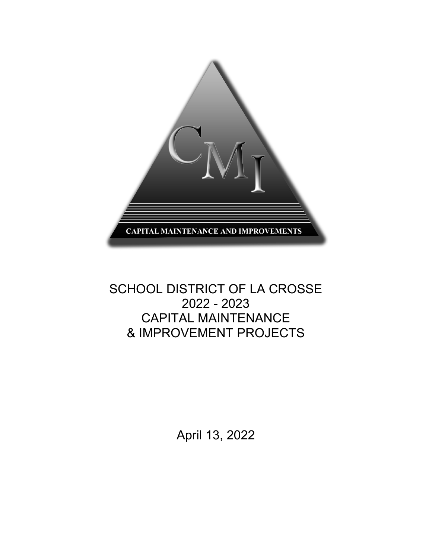

# SCHOOL DISTRICT OF LA CROSSE 2022 - 2023 CAPITAL MAINTENANCE & IMPROVEMENT PROJECTS

April 13, 2022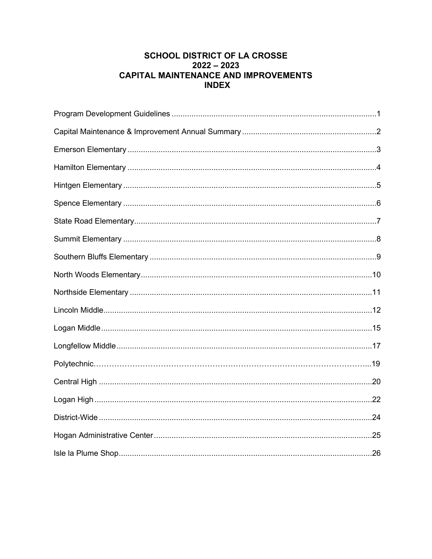#### **SCHOOL DISTRICT OF LA CROSSE**  $2022 - 2023$ **CAPITAL MAINTENANCE AND IMPROVEMENTS INDEX**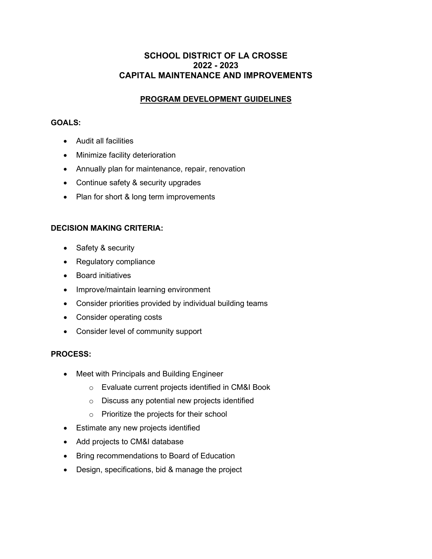#### **SCHOOL DISTRICT OF LA CROSSE 2022 - 2023 CAPITAL MAINTENANCE AND IMPROVEMENTS**

#### **PROGRAM DEVELOPMENT GUIDELINES**

#### **GOALS:**

- Audit all facilities
- Minimize facility deterioration
- Annually plan for maintenance, repair, renovation
- Continue safety & security upgrades
- Plan for short & long term improvements

#### **DECISION MAKING CRITERIA:**

- Safety & security
- Regulatory compliance
- Board initiatives
- Improve/maintain learning environment
- Consider priorities provided by individual building teams
- Consider operating costs
- Consider level of community support

#### **PROCESS:**

- Meet with Principals and Building Engineer
	- o Evaluate current projects identified in CM&I Book
	- o Discuss any potential new projects identified
	- o Prioritize the projects for their school
- Estimate any new projects identified
- Add projects to CM&I database
- Bring recommendations to Board of Education
- Design, specifications, bid & manage the project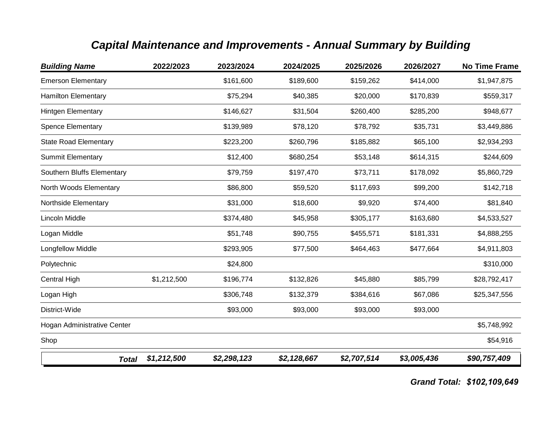# *Capital Maintenance and Improvements - Annual Summary by Building*

| <b>Building Name</b>         | 2022/2023   | 2023/2024   | 2024/2025   | 2025/2026   | 2026/2027   | <b>No Time Frame</b> |
|------------------------------|-------------|-------------|-------------|-------------|-------------|----------------------|
| <b>Emerson Elementary</b>    |             | \$161,600   | \$189,600   | \$159,262   | \$414,000   | \$1,947,875          |
| <b>Hamilton Elementary</b>   |             | \$75,294    | \$40,385    | \$20,000    | \$170,839   | \$559,317            |
| Hintgen Elementary           |             | \$146,627   | \$31,504    | \$260,400   | \$285,200   | \$948,677            |
| <b>Spence Elementary</b>     |             | \$139,989   | \$78,120    | \$78,792    | \$35,731    | \$3,449,886          |
| <b>State Road Elementary</b> |             | \$223,200   | \$260,796   | \$185,882   | \$65,100    | \$2,934,293          |
| <b>Summit Elementary</b>     |             | \$12,400    | \$680,254   | \$53,148    | \$614,315   | \$244,609            |
| Southern Bluffs Elementary   |             | \$79,759    | \$197,470   | \$73,711    | \$178,092   | \$5,860,729          |
| North Woods Elementary       |             | \$86,800    | \$59,520    | \$117,693   | \$99,200    | \$142,718            |
| Northside Elementary         |             | \$31,000    | \$18,600    | \$9,920     | \$74,400    | \$81,840             |
| Lincoln Middle               |             | \$374,480   | \$45,958    | \$305,177   | \$163,680   | \$4,533,527          |
| Logan Middle                 |             | \$51,748    | \$90,755    | \$455,571   | \$181,331   | \$4,888,255          |
| Longfellow Middle            |             | \$293,905   | \$77,500    | \$464,463   | \$477,664   | \$4,911,803          |
| Polytechnic                  |             | \$24,800    |             |             |             | \$310,000            |
| Central High                 | \$1,212,500 | \$196,774   | \$132,826   | \$45,880    | \$85,799    | \$28,792,417         |
| Logan High                   |             | \$306,748   | \$132,379   | \$384,616   | \$67,086    | \$25,347,556         |
| District-Wide                |             | \$93,000    | \$93,000    | \$93,000    | \$93,000    |                      |
| Hogan Administrative Center  |             |             |             |             |             | \$5,748,992          |
| Shop                         |             |             |             |             |             | \$54,916             |
| <b>Total</b>                 | \$1,212,500 | \$2,298,123 | \$2,128,667 | \$2,707,514 | \$3,005,436 | \$90,757,409         |

*Grand Total: \$102,109,649*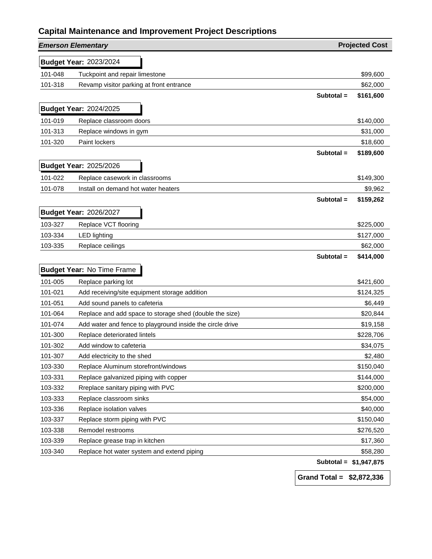|         | <b>Emerson Elementary</b>                                 |                        | <b>Projected Cost</b> |
|---------|-----------------------------------------------------------|------------------------|-----------------------|
|         | <b>Budget Year: 2023/2024</b>                             |                        |                       |
| 101-048 | Tuckpoint and repair limestone                            |                        | \$99,600              |
| 101-318 | Revamp visitor parking at front entrance                  |                        | \$62,000              |
|         |                                                           | Subtotal =             | \$161,600             |
|         | <b>Budget Year: 2024/2025</b>                             |                        |                       |
| 101-019 | Replace classroom doors                                   |                        | \$140,000             |
| 101-313 | Replace windows in gym                                    |                        | \$31,000              |
| 101-320 | Paint lockers                                             |                        | \$18,600              |
|         |                                                           | Subtotal =             | \$189,600             |
|         | <b>Budget Year: 2025/2026</b>                             |                        |                       |
| 101-022 | Replace casework in classrooms                            |                        | \$149,300             |
| 101-078 | Install on demand hot water heaters                       |                        | \$9,962               |
|         |                                                           | Subtotal =             | \$159,262             |
|         | <b>Budget Year: 2026/2027</b>                             |                        |                       |
| 103-327 | Replace VCT flooring                                      |                        | \$225,000             |
| 103-334 | <b>LED lighting</b>                                       |                        | \$127,000             |
| 103-335 | Replace ceilings                                          |                        | \$62,000              |
|         |                                                           | Subtotal =             | \$414,000             |
|         | <b>Budget Year: No Time Frame</b>                         |                        |                       |
| 101-005 | Replace parking lot                                       |                        | \$421,600             |
| 101-021 | Add receiving/site equipment storage addition             |                        | \$124,325             |
| 101-051 | Add sound panels to cafeteria                             |                        | \$6,449               |
| 101-064 | Replace and add space to storage shed (double the size)   |                        | \$20,844              |
| 101-074 | Add water and fence to playground inside the circle drive |                        | \$19,158              |
| 101-300 | Replace deteriorated lintels                              |                        | \$228,706             |
| 101-302 | Add window to cafeteria                                   |                        | \$34,075              |
| 101-307 | Add electricity to the shed                               |                        | \$2,480               |
| 103-330 | Replace Aluminum storefront/windows                       |                        | \$150,040             |
| 103-331 | Replace galvanized piping with copper                     |                        | \$144,000             |
| 103-332 | Rreplace sanitary piping with PVC                         |                        | \$200,000             |
| 103-333 | Replace classroom sinks                                   |                        | \$54,000              |
| 103-336 | Replace isolation valves                                  |                        | \$40,000              |
| 103-337 | Replace storm piping with PVC                             |                        | \$150,040             |
| 103-338 | Remodel restrooms                                         |                        | \$276,520             |
| 103-339 | Replace grease trap in kitchen                            |                        | \$17,360              |
| 103-340 | Replace hot water system and extend piping                |                        | \$58,280              |
|         |                                                           | Subtotal = \$1,947,875 |                       |

**Grand Total = \$2,872,336**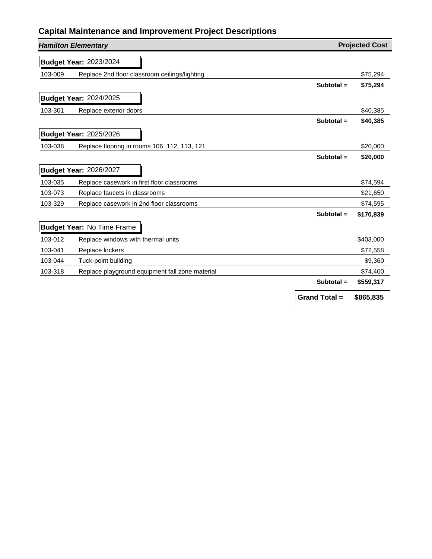|         | <b>Hamilton Elementary</b>                      |                      | <b>Projected Cost</b> |
|---------|-------------------------------------------------|----------------------|-----------------------|
|         | <b>Budget Year: 2023/2024</b>                   |                      |                       |
| 103-009 | Replace 2nd floor classroom ceilings/lighting   |                      | \$75,294              |
|         |                                                 | Subtotal $=$         | \$75,294              |
|         | <b>Budget Year: 2024/2025</b>                   |                      |                       |
| 103-301 | Replace exterior doors                          |                      | \$40,385              |
|         |                                                 | Subtotal $=$         | \$40,385              |
|         | <b>Budget Year: 2025/2026</b>                   |                      |                       |
| 103-038 | Replace flooring in rooms 106, 112, 113, 121    |                      | \$20,000              |
|         |                                                 | Subtotal =           | \$20,000              |
|         | <b>Budget Year: 2026/2027</b>                   |                      |                       |
| 103-035 | Replace casework in first floor classrooms      |                      | \$74,594              |
| 103-073 | Replace faucets in classrooms                   |                      | \$21,650              |
| 103-329 | Replace casework in 2nd floor classrooms        |                      | \$74,595              |
|         |                                                 | Subtotal $=$         | \$170,839             |
|         | <b>Budget Year: No Time Frame</b>               |                      |                       |
| 103-012 | Replace windows with thermal units              |                      | \$403,000             |
| 103-041 | Replace lockers                                 |                      | \$72,558              |
| 103-044 | Tuck-point building                             |                      | \$9,360               |
| 103-318 | Replace playground equipment fall zone material |                      | \$74,400              |
|         |                                                 | Subtotal =           | \$559,317             |
|         |                                                 | <b>Grand Total =</b> | \$865,835             |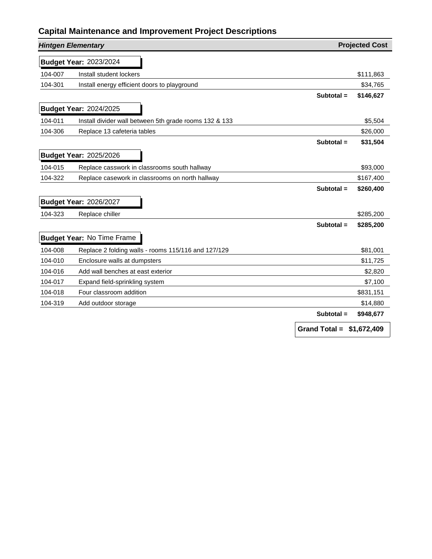| <b>Hintgen Elementary</b> |                                                        |                            | <b>Projected Cost</b> |
|---------------------------|--------------------------------------------------------|----------------------------|-----------------------|
|                           | <b>Budget Year: 2023/2024</b>                          |                            |                       |
| 104-007                   | Install student lockers                                |                            | \$111,863             |
| 104-301                   | Install energy efficient doors to playground           |                            | \$34,765              |
|                           |                                                        | Subtotal $=$               | \$146,627             |
|                           | <b>Budget Year: 2024/2025</b>                          |                            |                       |
| 104-011                   | Install divider wall between 5th grade rooms 132 & 133 |                            | \$5,504               |
| 104-306                   | Replace 13 cafeteria tables                            |                            | \$26,000              |
|                           |                                                        | Subtotal =                 | \$31,504              |
|                           | <b>Budget Year: 2025/2026</b>                          |                            |                       |
| 104-015                   | Replace casswork in classrooms south hallway           |                            | \$93,000              |
| 104-322                   | Replace casework in classrooms on north hallway        |                            | \$167,400             |
|                           |                                                        | Subtotal =                 | \$260,400             |
|                           | <b>Budget Year: 2026/2027</b>                          |                            |                       |
| 104-323                   | Replace chiller                                        |                            | \$285,200             |
|                           |                                                        | Subtotal =                 | \$285,200             |
|                           | <b>Budget Year: No Time Frame</b>                      |                            |                       |
| 104-008                   | Replace 2 folding walls - rooms 115/116 and 127/129    |                            | \$81,001              |
| 104-010                   | Enclosure walls at dumpsters                           |                            | \$11,725              |
| 104-016                   | Add wall benches at east exterior                      |                            | \$2,820               |
| 104-017                   | Expand field-sprinkling system                         |                            | \$7,100               |
| 104-018                   | Four classroom addition                                |                            | \$831,151             |
| 104-319                   | Add outdoor storage                                    |                            | \$14,880              |
|                           |                                                        | Subtotal =                 | \$948,677             |
|                           |                                                        | Grand Total = $$1,672,409$ |                       |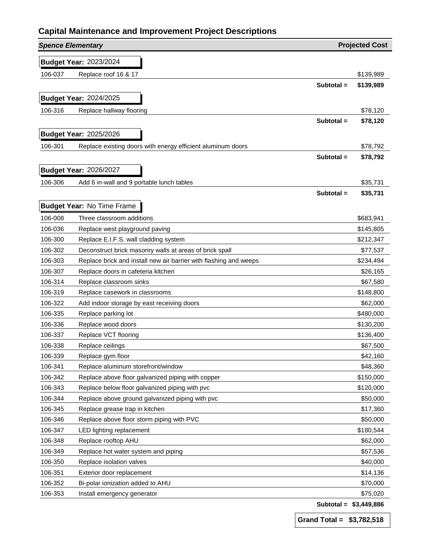| <b>Spence Elementary</b> |                                                                   |            | <b>Projected Cost</b>  |
|--------------------------|-------------------------------------------------------------------|------------|------------------------|
|                          | <b>Budget Year: 2023/2024</b>                                     |            |                        |
| 106-037                  | Replace roof 16 & 17                                              |            | \$139,989              |
|                          |                                                                   | Subtotal = | \$139,989              |
|                          | <b>Budget Year: 2024/2025</b>                                     |            |                        |
| 106-316                  | Replace hallway flooring                                          |            | \$78,120               |
|                          |                                                                   | Subtotal = | \$78,120               |
|                          |                                                                   |            |                        |
|                          | <b>Budget Year: 2025/2026</b>                                     |            |                        |
| 106-301                  | Replace existing doors with energy efficient aluminum doors       |            | \$78,792               |
|                          |                                                                   | Subtotal = | \$78,792               |
|                          | <b>Budget Year: 2026/2027</b>                                     |            |                        |
| 106-306                  | Add 6 in-wall and 9 portable lunch tables                         |            | \$35,731               |
|                          |                                                                   | Subtotal = | \$35,731               |
|                          | <b>Budget Year: No Time Frame</b>                                 |            |                        |
| 106-008                  | Three classroom additions                                         |            | \$683,941              |
| 106-036                  | Replace west playground paving                                    |            | \$145,805              |
| 106-300                  | Replace E.I.F.S. wall cladding system                             |            | \$212,347              |
| 106-302                  | Deconstruct brick masonry walls at areas of brick spall           |            | \$77,537               |
| 106-303                  | Replace brick and install new air barrier with flashing and weeps |            | \$234,494              |
| 106-307                  | Replace doors in cafeteria kitchen                                |            | \$26,165               |
| 106-314                  | Replace classroom sinks                                           |            | \$67,580               |
| 106-319                  | Replace casework in classrooms                                    |            | \$148,800              |
| 106-322                  | Add indoor storage by east receiving doors                        |            | \$62,000               |
| 106-335                  | Replace parking lot                                               |            | \$480,000              |
| 106-336                  | Replace wood doors                                                |            | \$130,200              |
| 106-337                  | Replace VCT flooring                                              |            | \$136,400              |
| 106-338                  | Replace ceilings                                                  |            | \$67,500               |
| 106-339                  | Replace gym floor                                                 |            | \$42,160               |
| 106-341                  | Replace aluminum storefront/window                                |            | \$48,360               |
| 106-342                  | Replace above floor galvanized piping with copper                 |            | \$150,000              |
| 106-343                  | Replace below floor galvanized piping with pvc                    |            | \$120,000              |
| 106-344                  | Replace above ground galvanized piping with pvc                   |            | \$50,000               |
| 106-345                  | Replace grease trap in kitchen                                    |            | \$17,360               |
| 106-346                  | Replace above floor storm piping with PVC                         |            | \$50,000               |
| 106-347                  | LED lighting replacement                                          |            | \$180,544              |
| 106-348                  | Replace rooftop AHU                                               |            | \$62,000               |
| 106-349                  | Replace hot water system and piping                               |            | \$57,536               |
| 106-350                  | Replace isolation valves                                          |            | \$40,000               |
| 106-351                  | Exterior door replacement                                         |            | \$14,136               |
| 106-352                  | Bi-polar ionization added to AHU                                  |            | \$70,000               |
| 106-353                  | Install emergency generator                                       |            | \$75,020               |
|                          |                                                                   |            | Subtotal = \$3,449,886 |

**Grand Total = \$3,782,518**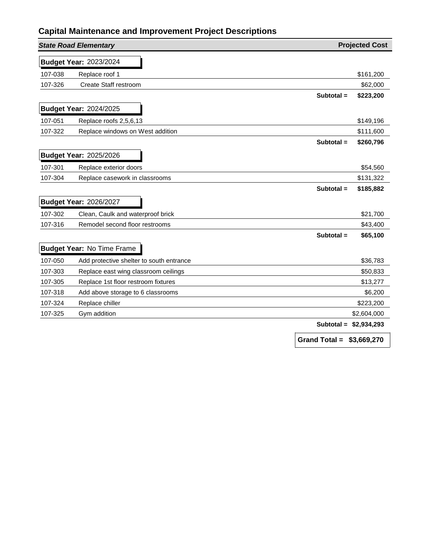|         | <b>State Road Elementary</b>             |                            | <b>Projected Cost</b> |
|---------|------------------------------------------|----------------------------|-----------------------|
|         | <b>Budget Year: 2023/2024</b>            |                            |                       |
| 107-038 | Replace roof 1                           |                            | \$161,200             |
| 107-326 | <b>Create Staff restroom</b>             |                            | \$62,000              |
|         |                                          | Subtotal =                 | \$223,200             |
|         | <b>Budget Year: 2024/2025</b>            |                            |                       |
| 107-051 | Replace roofs 2,5,6,13                   |                            | \$149,196             |
| 107-322 | Replace windows on West addition         |                            | \$111,600             |
|         |                                          | Subtotal =                 | \$260,796             |
|         | <b>Budget Year: 2025/2026</b>            |                            |                       |
| 107-301 | Replace exterior doors                   |                            | \$54,560              |
| 107-304 | Replace casework in classrooms           |                            | \$131,322             |
|         |                                          | Subtotal =                 | \$185,882             |
|         | <b>Budget Year: 2026/2027</b>            |                            |                       |
| 107-302 | Clean, Caulk and waterproof brick        |                            | \$21,700              |
| 107-316 | Remodel second floor restrooms           |                            | \$43,400              |
|         |                                          | Subtotal =                 | \$65,100              |
|         | <b>Budget Year: No Time Frame</b>        |                            |                       |
| 107-050 | Add protective shelter to south entrance |                            | \$36,783              |
| 107-303 | Replace east wing classroom ceilings     |                            | \$50,833              |
| 107-305 | Replace 1st floor restroom fixtures      |                            | \$13,277              |
| 107-318 | Add above storage to 6 classrooms        |                            | \$6,200               |
| 107-324 | Replace chiller                          |                            | \$223,200             |
| 107-325 | Gym addition                             |                            | \$2,604,000           |
|         |                                          | Subtotal $=$               | \$2,934,293           |
|         |                                          | Grand Total = $$3,669,270$ |                       |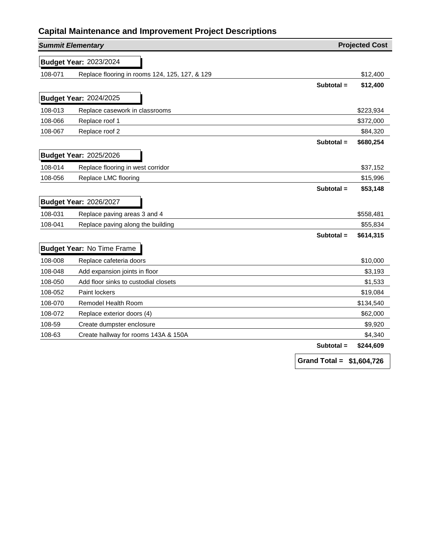| <b>Summit Elementary</b> |                                                |                            | <b>Projected Cost</b> |
|--------------------------|------------------------------------------------|----------------------------|-----------------------|
|                          | <b>Budget Year: 2023/2024</b>                  |                            |                       |
| 108-071                  | Replace flooring in rooms 124, 125, 127, & 129 |                            | \$12,400              |
|                          |                                                | Subtotal $=$               | \$12,400              |
|                          | <b>Budget Year: 2024/2025</b>                  |                            |                       |
|                          |                                                |                            |                       |
| 108-013                  | Replace casework in classrooms                 |                            | \$223,934             |
| 108-066                  | Replace roof 1                                 |                            | \$372,000             |
| 108-067                  | Replace roof 2                                 |                            | \$84,320              |
|                          |                                                | Subtotal =                 | \$680,254             |
|                          | <b>Budget Year: 2025/2026</b>                  |                            |                       |
| 108-014                  | Replace flooring in west corridor              |                            | \$37,152              |
| 108-056                  | Replace LMC flooring                           |                            | \$15,996              |
|                          |                                                | Subtotal =                 | \$53,148              |
|                          | <b>Budget Year: 2026/2027</b>                  |                            |                       |
| 108-031                  | Replace paving areas 3 and 4                   |                            | \$558,481             |
| 108-041                  | Replace paving along the building              |                            | \$55,834              |
|                          |                                                | Subtotal =                 | \$614,315             |
|                          |                                                |                            |                       |
|                          | <b>Budget Year: No Time Frame</b>              |                            |                       |
| 108-008                  | Replace cafeteria doors                        |                            | \$10,000              |
| 108-048                  | Add expansion joints in floor                  |                            | \$3,193               |
| 108-050                  | Add floor sinks to custodial closets           |                            | \$1,533               |
| 108-052                  | Paint lockers                                  |                            | \$19,084              |
| 108-070                  | Remodel Health Room                            |                            | \$134,540             |
| 108-072                  | Replace exterior doors (4)                     |                            | \$62,000              |
| 108-59                   | Create dumpster enclosure                      |                            | \$9,920               |
| 108-63                   | Create hallway for rooms 143A & 150A           |                            | \$4,340               |
|                          |                                                | Subtotal =                 | \$244,609             |
|                          |                                                | Grand Total = $$1,604,726$ |                       |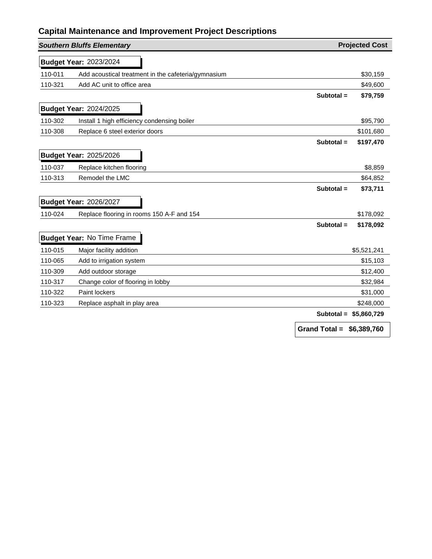|         | <b>Southern Bluffs Elementary</b>                   |              | <b>Projected Cost</b> |
|---------|-----------------------------------------------------|--------------|-----------------------|
|         | <b>Budget Year: 2023/2024</b>                       |              |                       |
| 110-011 | Add acoustical treatment in the cafeteria/gymnasium |              | \$30,159              |
| 110-321 | Add AC unit to office area                          |              | \$49,600              |
|         |                                                     | Subtotal $=$ | \$79,759              |
|         | <b>Budget Year: 2024/2025</b>                       |              |                       |
| 110-302 | Install 1 high efficiency condensing boiler         |              | \$95,790              |
| 110-308 | Replace 6 steel exterior doors                      |              | \$101,680             |
|         |                                                     | Subtotal $=$ | \$197,470             |
|         | <b>Budget Year: 2025/2026</b>                       |              |                       |
| 110-037 | Replace kitchen flooring                            |              | \$8,859               |
| 110-313 | Remodel the LMC                                     |              | \$64,852              |
|         |                                                     | Subtotal $=$ | \$73,711              |
|         | <b>Budget Year: 2026/2027</b>                       |              |                       |
| 110-024 | Replace flooring in rooms 150 A-F and 154           |              | \$178,092             |
|         |                                                     | Subtotal =   | \$178,092             |
|         | <b>Budget Year: No Time Frame</b>                   |              |                       |
| 110-015 | Major facility addition                             |              | \$5,521,241           |
| 110-065 | Add to irrigation system                            |              | \$15,103              |
| 110-309 | Add outdoor storage                                 |              | \$12,400              |
| 110-317 | Change color of flooring in lobby                   |              | \$32,984              |
| 110-322 | <b>Paint lockers</b>                                |              | \$31,000              |
| 110-323 | Replace asphalt in play area                        |              | \$248,000             |
|         |                                                     | Subtotal =   | \$5,860,729           |
|         |                                                     |              |                       |

**Grand Total = \$6,389,760**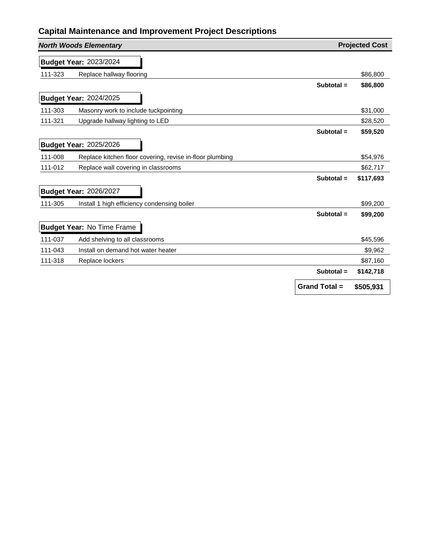|         | <b>North Woods Elementary</b>                            |                      | <b>Projected Cost</b> |
|---------|----------------------------------------------------------|----------------------|-----------------------|
|         | <b>Budget Year: 2023/2024</b>                            |                      |                       |
| 111-323 | Replace hallway flooring                                 |                      | \$86,800              |
|         |                                                          | Subtotal $=$         | \$86,800              |
|         | <b>Budget Year: 2024/2025</b>                            |                      |                       |
| 111-303 | Masonry work to include tuckpointing                     |                      | \$31,000              |
| 111-321 | Upgrade hallway lighting to LED                          |                      | \$28,520              |
|         |                                                          | Subtotal $=$         | \$59,520              |
|         | <b>Budget Year: 2025/2026</b>                            |                      |                       |
| 111-008 | Replace kitchen floor covering, revise in-floor plumbing |                      | \$54,976              |
| 111-012 | Replace wall covering in classrooms                      |                      | \$62,717              |
|         |                                                          | Subtotal =           | \$117,693             |
|         | <b>Budget Year: 2026/2027</b>                            |                      |                       |
| 111-305 | Install 1 high efficiency condensing boiler              |                      | \$99,200              |
|         |                                                          | Subtotal =           | \$99,200              |
|         | <b>Budget Year: No Time Frame</b>                        |                      |                       |
| 111-037 | Add shelving to all classrooms                           |                      | \$45,596              |
| 111-043 | Install on demand hot water heater                       |                      | \$9,962               |
| 111-318 | Replace lockers                                          |                      | \$87,160              |
|         |                                                          | Subtotal $=$         | \$142,718             |
|         |                                                          | <b>Grand Total =</b> | \$505,931             |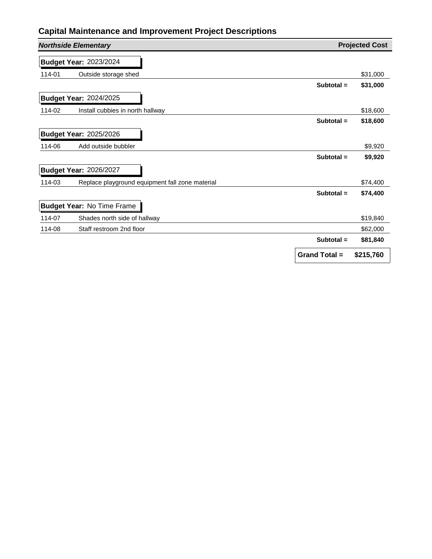|        | <b>Northside Elementary</b>                     |                      | <b>Projected Cost</b> |
|--------|-------------------------------------------------|----------------------|-----------------------|
|        | <b>Budget Year: 2023/2024</b>                   |                      |                       |
| 114-01 | Outside storage shed                            |                      | \$31,000              |
|        |                                                 | Subtotal $=$         | \$31,000              |
|        | <b>Budget Year: 2024/2025</b>                   |                      |                       |
| 114-02 | Install cubbies in north hallway                |                      | \$18,600              |
|        |                                                 | Subtotal $=$         | \$18,600              |
|        | <b>Budget Year: 2025/2026</b>                   |                      |                       |
| 114-06 | Add outside bubbler                             |                      | \$9,920               |
|        |                                                 | Subtotal $=$         | \$9,920               |
|        | <b>Budget Year: 2026/2027</b>                   |                      |                       |
| 114-03 | Replace playground equipment fall zone material |                      | \$74,400              |
|        |                                                 | Subtotal =           | \$74,400              |
|        | <b>Budget Year: No Time Frame</b>               |                      |                       |
| 114-07 | Shades north side of hallway                    |                      | \$19,840              |
| 114-08 | Staff restroom 2nd floor                        |                      | \$62,000              |
|        |                                                 | Subtotal $=$         | \$81,840              |
|        |                                                 | <b>Grand Total =</b> | \$215,760             |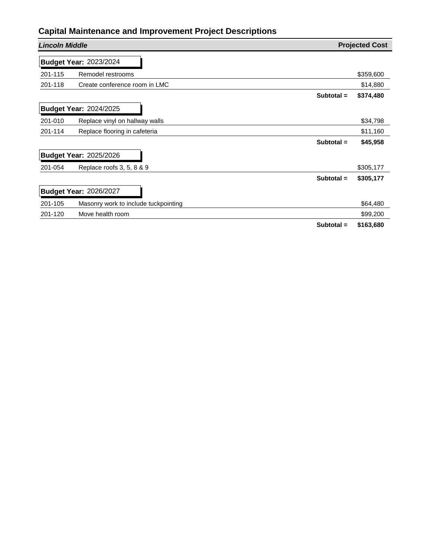| <b>Lincoln Middle</b>                           | <b>Projected Cost</b>     |
|-------------------------------------------------|---------------------------|
| <b>Budget Year: 2023/2024</b>                   |                           |
| Remodel restrooms<br>201-115                    | \$359,600                 |
| 201-118<br>Create conference room in LMC        | \$14,880                  |
|                                                 | \$374,480<br>Subtotal $=$ |
| <b>Budget Year: 2024/2025</b>                   |                           |
| Replace vinyl on hallway walls<br>201-010       | \$34,798                  |
| 201-114<br>Replace flooring in cafeteria        | \$11,160                  |
|                                                 | \$45,958<br>Subtotal $=$  |
| <b>Budget Year: 2025/2026</b>                   |                           |
| Replace roofs 3, 5, 8 & 9<br>201-054            | \$305,177                 |
|                                                 | Subtotal $=$<br>\$305,177 |
| <b>Budget Year: 2026/2027</b>                   |                           |
| Masonry work to include tuckpointing<br>201-105 | \$64,480                  |
| Move health room<br>201-120                     | \$99,200                  |
|                                                 | Subtotal =<br>\$163,680   |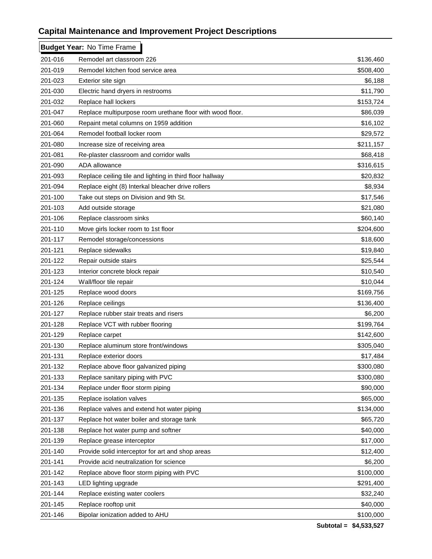|         | <b>Budget Year: No Time Frame</b>                         |           |
|---------|-----------------------------------------------------------|-----------|
| 201-016 | Remodel art classroom 226                                 | \$136,460 |
| 201-019 | Remodel kitchen food service area                         | \$508,400 |
| 201-023 | Exterior site sign                                        | \$6,188   |
| 201-030 | Electric hand dryers in restrooms                         | \$11,790  |
| 201-032 | Replace hall lockers                                      | \$153,724 |
| 201-047 | Replace multipurpose room urethane floor with wood floor. | \$86,039  |
| 201-060 | Repaint metal columns on 1959 addition                    | \$16,102  |
| 201-064 | Remodel football locker room                              | \$29,572  |
| 201-080 | Increase size of receiving area                           | \$211,157 |
| 201-081 | Re-plaster classroom and corridor walls                   | \$68,418  |
| 201-090 | ADA allowance                                             | \$316,615 |
| 201-093 | Replace ceiling tile and lighting in third floor hallway  | \$20,832  |
| 201-094 | Replace eight (8) Interkal bleacher drive rollers         | \$8,934   |
| 201-100 | Take out steps on Division and 9th St.                    | \$17,546  |
| 201-103 | Add outside storage                                       | \$21,080  |
| 201-106 | Replace classroom sinks                                   | \$60,140  |
| 201-110 | Move girls locker room to 1st floor                       | \$204,600 |
| 201-117 | Remodel storage/concessions                               | \$18,600  |
| 201-121 | Replace sidewalks                                         | \$19,840  |
| 201-122 | Repair outside stairs                                     | \$25,544  |
| 201-123 | Interior concrete block repair                            | \$10,540  |
| 201-124 | Wall/floor tile repair                                    | \$10,044  |
| 201-125 | Replace wood doors                                        | \$169,756 |
| 201-126 | Replace ceilings                                          | \$136,400 |
| 201-127 | Replace rubber stair treats and risers                    | \$6,200   |
| 201-128 | Replace VCT with rubber flooring                          | \$199,764 |
| 201-129 | Replace carpet                                            | \$142,600 |
| 201-130 | Replace aluminum store front/windows                      | \$305,040 |
| 201-131 | Replace exterior doors                                    | \$17,484  |
| 201-132 | Replace above floor galvanized piping                     | \$300,080 |
| 201-133 | Replace sanitary piping with PVC                          | \$300,080 |
| 201-134 | Replace under floor storm piping                          | \$90,000  |
| 201-135 | Replace isolation valves                                  | \$65,000  |
| 201-136 | Replace valves and extend hot water piping                | \$134,000 |
| 201-137 | Replace hot water boiler and storage tank                 | \$65,720  |
| 201-138 | Replace hot water pump and softner                        | \$40,000  |
| 201-139 | Replace grease interceptor                                | \$17,000  |
| 201-140 | Provide solid interceptor for art and shop areas          | \$12,400  |
| 201-141 | Provide acid neutralization for science                   | \$6,200   |
| 201-142 | Replace above floor storm piping with PVC                 | \$100,000 |
| 201-143 | LED lighting upgrade                                      | \$291,400 |
| 201-144 | Replace existing water coolers                            | \$32,240  |
| 201-145 | Replace rooftop unit                                      | \$40,000  |
| 201-146 | Bipolar ionization added to AHU                           | \$100,000 |
|         |                                                           |           |

**Subtotal = \$4,533,527**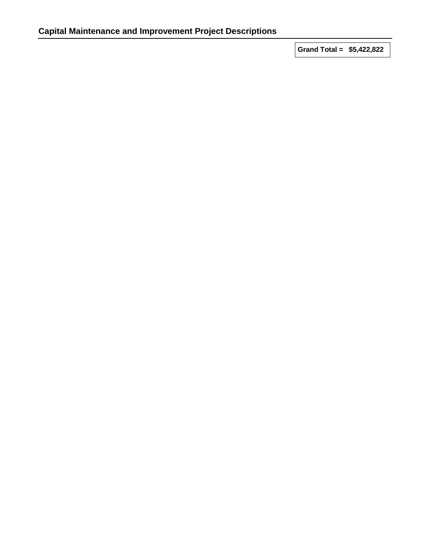**Grand Total = \$5,422,822**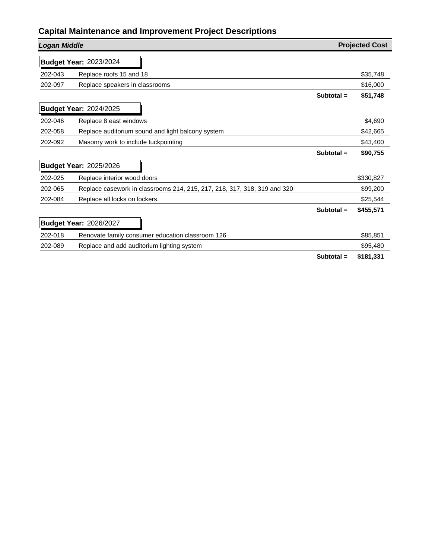| <b>Logan Middle</b> |                                                                          |              | <b>Projected Cost</b> |
|---------------------|--------------------------------------------------------------------------|--------------|-----------------------|
|                     | <b>Budget Year: 2023/2024</b>                                            |              |                       |
| 202-043             | Replace roofs 15 and 18                                                  |              | \$35,748              |
| 202-097             | Replace speakers in classrooms                                           |              | \$16,000              |
|                     |                                                                          | Subtotal $=$ | \$51,748              |
|                     | <b>Budget Year: 2024/2025</b>                                            |              |                       |
| 202-046             | Replace 8 east windows                                                   |              | \$4,690               |
| 202-058             | Replace auditorium sound and light balcony system                        |              | \$42,665              |
| 202-092             | Masonry work to include tuckpointing                                     |              | \$43,400              |
|                     |                                                                          | Subtotal $=$ | \$90,755              |
|                     | <b>Budget Year: 2025/2026</b>                                            |              |                       |
| 202-025             | Replace interior wood doors                                              |              | \$330,827             |
| 202-065             | Replace casework in classrooms 214, 215, 217, 218, 317, 318, 319 and 320 |              | \$99,200              |
| 202-084             | Replace all locks on lockers.                                            |              | \$25,544              |
|                     |                                                                          | Subtotal $=$ | \$455,571             |
|                     | <b>Budget Year: 2026/2027</b>                                            |              |                       |
| 202-018             | Renovate family consumer education classroom 126                         |              | \$85,851              |
| 202-089             | Replace and add auditorium lighting system                               |              | \$95,480              |
|                     |                                                                          | Subtotal =   | \$181,331             |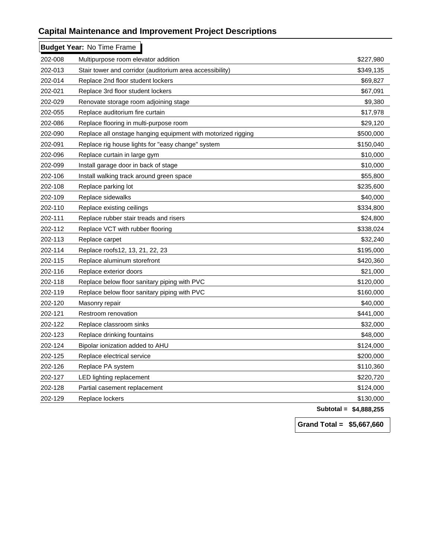|         | <b>Budget Year: No Time Frame</b>                            |                        |
|---------|--------------------------------------------------------------|------------------------|
| 202-008 | Multipurpose room elevator addition                          | \$227,980              |
| 202-013 | Stair tower and corridor (auditorium area accessibility)     | \$349,135              |
| 202-014 | Replace 2nd floor student lockers                            | \$69,827               |
| 202-021 | Replace 3rd floor student lockers                            | \$67,091               |
| 202-029 | Renovate storage room adjoining stage                        | \$9,380                |
| 202-055 | Replace auditorium fire curtain                              | \$17,978               |
| 202-086 | Replace flooring in multi-purpose room                       | \$29,120               |
| 202-090 | Replace all onstage hanging equipment with motorized rigging | \$500,000              |
| 202-091 | Replace rig house lights for "easy change" system            | \$150,040              |
| 202-096 | Replace curtain in large gym                                 | \$10,000               |
| 202-099 | Install garage door in back of stage                         | \$10,000               |
| 202-106 | Install walking track around green space                     | \$55,800               |
| 202-108 | Replace parking lot                                          | \$235,600              |
| 202-109 | Replace sidewalks                                            | \$40,000               |
| 202-110 | Replace existing ceilings                                    | \$334,800              |
| 202-111 | Replace rubber stair treads and risers                       | \$24,800               |
| 202-112 | Replace VCT with rubber flooring                             | \$338,024              |
| 202-113 | Replace carpet                                               | \$32,240               |
| 202-114 | Replace roofs12, 13, 21, 22, 23                              | \$195,000              |
| 202-115 | Replace aluminum storefront                                  | \$420,360              |
| 202-116 | Replace exterior doors                                       | \$21,000               |
| 202-118 | Replace below floor sanitary piping with PVC                 | \$120,000              |
| 202-119 | Replace below floor sanitary piping with PVC                 | \$160,000              |
| 202-120 | Masonry repair                                               | \$40,000               |
| 202-121 | Restroom renovation                                          | \$441,000              |
| 202-122 | Replace classroom sinks                                      | \$32,000               |
| 202-123 | Replace drinking fountains                                   | \$48,000               |
| 202-124 | Bipolar ionization added to AHU                              | \$124,000              |
| 202-125 | Replace electrical service                                   | \$200,000              |
| 202-126 | Replace PA system                                            | \$110,360              |
| 202-127 | LED lighting replacement                                     | \$220,720              |
| 202-128 | Partial casement replacement                                 | \$124,000              |
| 202-129 | Replace lockers                                              | \$130,000              |
|         |                                                              | Subtotal = \$4,888,255 |

**Grand Total = \$5,667,660**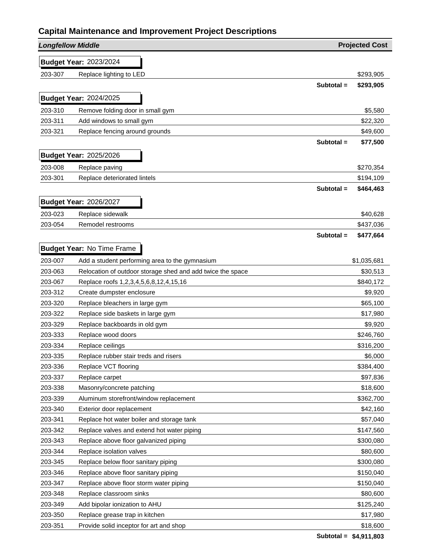| <b>Longfellow Middle</b> |                                                            |              | <b>Projected Cost</b> |
|--------------------------|------------------------------------------------------------|--------------|-----------------------|
|                          | <b>Budget Year: 2023/2024</b>                              |              |                       |
| 203-307                  | Replace lighting to LED                                    |              | \$293,905             |
|                          |                                                            | Subtotal $=$ | \$293,905             |
|                          | <b>Budget Year: 2024/2025</b>                              |              |                       |
| 203-310                  | Remove folding door in small gym                           |              | \$5,580               |
| 203-311                  | Add windows to small gym                                   |              | \$22,320              |
| 203-321                  | Replace fencing around grounds                             |              | \$49,600              |
|                          |                                                            | Subtotal $=$ | \$77,500              |
|                          |                                                            |              |                       |
|                          | <b>Budget Year: 2025/2026</b>                              |              |                       |
| 203-008                  | Replace paving                                             |              | \$270,354             |
| 203-301                  | Replace deteriorated lintels                               |              | \$194,109             |
|                          |                                                            | Subtotal =   | \$464,463             |
|                          | <b>Budget Year: 2026/2027</b>                              |              |                       |
| 203-023                  | Replace sidewalk                                           |              | \$40,628              |
| 203-054                  | Remodel restrooms                                          |              | \$437,036             |
|                          |                                                            | Subtotal =   | \$477,664             |
|                          | <b>Budget Year: No Time Frame</b>                          |              |                       |
| 203-007                  | Add a student performing area to the gymnasium             |              | \$1,035,681           |
| 203-063                  | Relocation of outdoor storage shed and add twice the space |              | \$30,513              |
| 203-067                  | Replace roofs 1,2,3,4,5,6,8,12,4,15,16                     |              | \$840,172             |
| 203-312                  | Create dumpster enclosure                                  |              | \$9,920               |
| 203-320                  | Replace bleachers in large gym                             |              | \$65,100              |
| 203-322                  | Replace side baskets in large gym                          |              | \$17,980              |
| 203-329                  | Replace backboards in old gym                              |              | \$9,920               |
| 203-333                  | Replace wood doors                                         |              | \$246,760             |
| 203-334                  | Replace ceilings                                           |              | \$316,200             |
| 203-335                  | Replace rubber stair treds and risers                      |              | \$6,000               |
| 203-336                  | Replace VCT flooring                                       |              | \$384,400             |
| 203-337                  | Replace carpet                                             |              | \$97,836              |
| 203-338                  | Masonry/concrete patching                                  |              | \$18,600              |
| 203-339                  | Aluminum storefront/window replacement                     |              | \$362,700             |
| 203-340                  | Exterior door replacement                                  |              | \$42,160              |
| 203-341                  | Replace hot water boiler and storage tank                  |              | \$57,040              |
| 203-342                  | Replace valves and extend hot water piping                 |              | \$147,560             |
| 203-343                  | Replace above floor galvanized piping                      |              | \$300,080             |
| 203-344                  | Replace isolation valves                                   |              | \$80,600              |
| 203-345                  | Replace below floor sanitary piping                        |              | \$300,080             |
| 203-346                  | Replace above floor sanitary piping                        |              | \$150,040             |
| 203-347                  | Replace above floor storm water piping                     |              | \$150,040             |
| 203-348                  | Replace classroom sinks                                    |              | \$80,600              |
| 203-349                  | Add bipolar ionization to AHU                              |              | \$125,240             |
| 203-350                  | Replace grease trap in kitchen                             |              | \$17,980              |
| 203-351                  | Provide solid inceptor for art and shop                    |              | \$18,600              |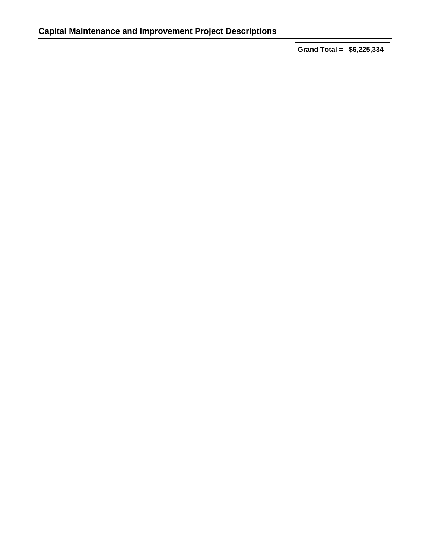**Grand Total = \$6,225,334**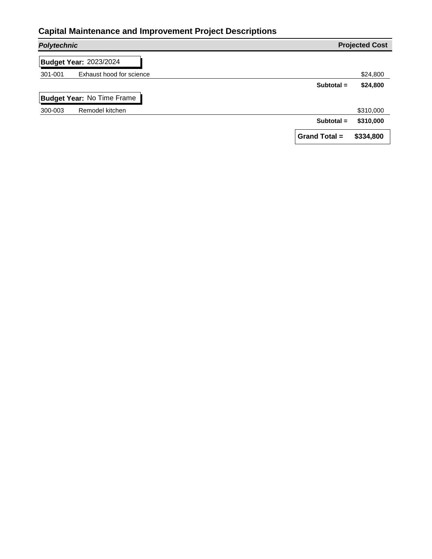|         | <b>Polytechnic</b>                |                      | <b>Projected Cost</b> |
|---------|-----------------------------------|----------------------|-----------------------|
|         | <b>Budget Year: 2023/2024</b>     |                      |                       |
| 301-001 | Exhaust hood for science          |                      | \$24,800              |
|         |                                   | Subtotal $=$         | \$24,800              |
|         | <b>Budget Year: No Time Frame</b> |                      |                       |
| 300-003 | Remodel kitchen                   |                      | \$310,000             |
|         |                                   | Subtotal $=$         | \$310,000             |
|         |                                   | <b>Grand Total =</b> | \$334,800             |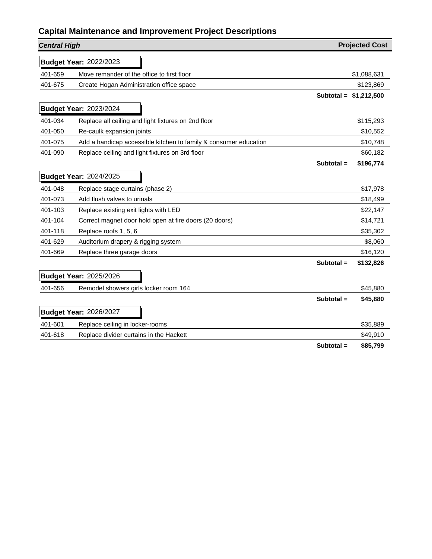| <b>Central High</b> |                                                                  |              | <b>Projected Cost</b>   |
|---------------------|------------------------------------------------------------------|--------------|-------------------------|
|                     | <b>Budget Year: 2022/2023</b>                                    |              |                         |
| 401-659             | Move remander of the office to first floor                       |              | \$1,088,631             |
| 401-675             | Create Hogan Administration office space                         |              | \$123,869               |
|                     |                                                                  |              | Subtotal = $$1,212,500$ |
|                     | <b>Budget Year: 2023/2024</b>                                    |              |                         |
| 401-034             | Replace all ceiling and light fixtures on 2nd floor              |              | \$115,293               |
| 401-050             | Re-caulk expansion joints                                        |              | \$10,552                |
| 401-075             | Add a handicap accessible kitchen to family & consumer education |              | \$10,748                |
| 401-090             | Replace ceiling and light fixtures on 3rd floor                  |              | \$60,182                |
|                     |                                                                  | Subtotal =   | \$196,774               |
|                     | <b>Budget Year: 2024/2025</b>                                    |              |                         |
| 401-048             | Replace stage curtains (phase 2)                                 |              | \$17,978                |
| 401-073             | Add flush valves to urinals                                      |              | \$18,499                |
| 401-103             | Replace existing exit lights with LED                            |              | \$22,147                |
| 401-104             | Correct magnet door hold open at fire doors (20 doors)           |              | \$14,721                |
| 401-118             | Replace roofs 1, 5, 6                                            |              | \$35,302                |
| 401-629             | Auditorium drapery & rigging system                              |              | \$8,060                 |
| 401-669             | Replace three garage doors                                       |              | \$16,120                |
|                     |                                                                  | Subtotal $=$ | \$132,826               |
|                     | <b>Budget Year: 2025/2026</b>                                    |              |                         |
| 401-656             | Remodel showers girls locker room 164                            |              | \$45,880                |
|                     |                                                                  | Subtotal =   | \$45,880                |
|                     | <b>Budget Year: 2026/2027</b>                                    |              |                         |
| 401-601             | Replace ceiling in locker-rooms                                  |              | \$35,889                |
| 401-618             | Replace divider curtains in the Hackett                          |              | \$49,910                |
|                     |                                                                  | Subtotal =   | \$85,799                |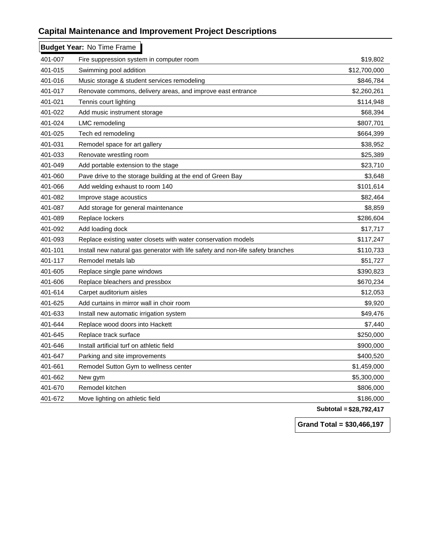|         | <b>Budget Year: No Time Frame</b>                                               |              |
|---------|---------------------------------------------------------------------------------|--------------|
| 401-007 | Fire suppression system in computer room                                        | \$19,802     |
| 401-015 | Swimming pool addition                                                          | \$12,700,000 |
| 401-016 | Music storage & student services remodeling                                     | \$846,784    |
| 401-017 | Renovate commons, delivery areas, and improve east entrance                     | \$2,260,261  |
| 401-021 | Tennis court lighting                                                           | \$114,948    |
| 401-022 | Add music instrument storage                                                    | \$68,394     |
| 401-024 | <b>LMC</b> remodeling                                                           | \$807,701    |
| 401-025 | Tech ed remodeling                                                              | \$664,399    |
| 401-031 | Remodel space for art gallery                                                   | \$38,952     |
| 401-033 | Renovate wrestling room                                                         | \$25,389     |
| 401-049 | Add portable extension to the stage                                             | \$23,710     |
| 401-060 | Pave drive to the storage building at the end of Green Bay                      | \$3,648      |
| 401-066 | Add welding exhaust to room 140                                                 | \$101,614    |
| 401-082 | Improve stage acoustics                                                         | \$82,464     |
| 401-087 | Add storage for general maintenance                                             | \$8,859      |
| 401-089 | Replace lockers                                                                 | \$286,604    |
| 401-092 | Add loading dock                                                                | \$17,717     |
| 401-093 | Replace existing water closets with water conservation models                   | \$117,247    |
| 401-101 | Install new natural gas generator with life safety and non-life safety branches | \$110,733    |
| 401-117 | Remodel metals lab                                                              | \$51,727     |
| 401-605 | Replace single pane windows                                                     | \$390,823    |
| 401-606 | Replace bleachers and pressbox                                                  | \$670,234    |
| 401-614 | Carpet auditorium aisles                                                        | \$12,053     |
| 401-625 | Add curtains in mirror wall in choir room                                       | \$9,920      |
| 401-633 | Install new automatic irrigation system                                         | \$49,476     |
| 401-644 | Replace wood doors into Hackett                                                 | \$7,440      |
| 401-645 | Replace track surface                                                           | \$250,000    |
| 401-646 | Install artificial turf on athletic field                                       | \$900,000    |
| 401-647 | Parking and site improvements                                                   | \$400,520    |
| 401-661 | Remodel Sutton Gym to wellness center                                           | \$1,459,000  |
| 401-662 | New gym                                                                         | \$5,300,000  |
| 401-670 | Remodel kitchen                                                                 | \$806,000    |
| 401-672 | Move lighting on athletic field                                                 | \$186,000    |
|         |                                                                                 |              |

**Subtotal = \$28,792,417**

**Grand Total = \$30,466,197**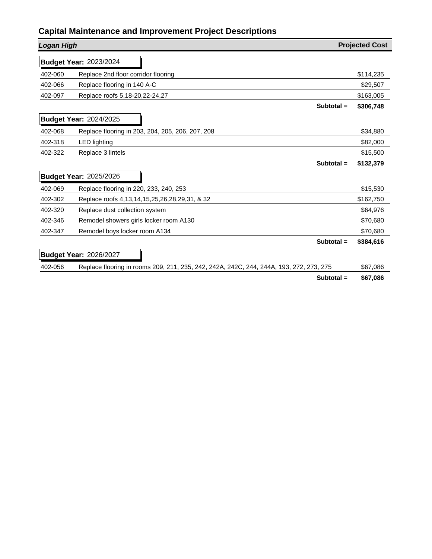| <b>Logan High</b> |                                                                                         | <b>Projected Cost</b> |
|-------------------|-----------------------------------------------------------------------------------------|-----------------------|
|                   | <b>Budget Year: 2023/2024</b>                                                           |                       |
| 402-060           | Replace 2nd floor corridor flooring                                                     | \$114,235             |
| 402-066           | Replace flooring in 140 A-C                                                             | \$29,507              |
| 402-097           | Replace roofs 5,18-20,22-24,27                                                          | \$163,005             |
|                   | Subtotal =                                                                              | \$306,748             |
|                   | <b>Budget Year: 2024/2025</b>                                                           |                       |
| 402-068           | Replace flooring in 203, 204, 205, 206, 207, 208                                        | \$34,880              |
| 402-318           | <b>LED</b> lighting                                                                     | \$82,000              |
| 402-322           | Replace 3 lintels                                                                       | \$15,500              |
|                   | Subtotal $=$                                                                            | \$132,379             |
|                   | <b>Budget Year: 2025/2026</b>                                                           |                       |
| 402-069           | Replace flooring in 220, 233, 240, 253                                                  | \$15,530              |
| 402-302           | Replace roofs 4, 13, 14, 15, 25, 26, 28, 29, 31, & 32                                   | \$162,750             |
| 402-320           | Replace dust collection system                                                          | \$64,976              |
| 402-346           | Remodel showers girls locker room A130                                                  | \$70,680              |
| 402-347           | Remodel boys locker room A134                                                           | \$70,680              |
|                   | Subtotal =                                                                              | \$384,616             |
|                   | <b>Budget Year: 2026/2027</b>                                                           |                       |
| 402-056           | Replace flooring in rooms 209, 211, 235, 242, 242A, 242C, 244, 244A, 193, 272, 273, 275 | \$67,086              |
|                   | Subtotal =                                                                              | \$67,086              |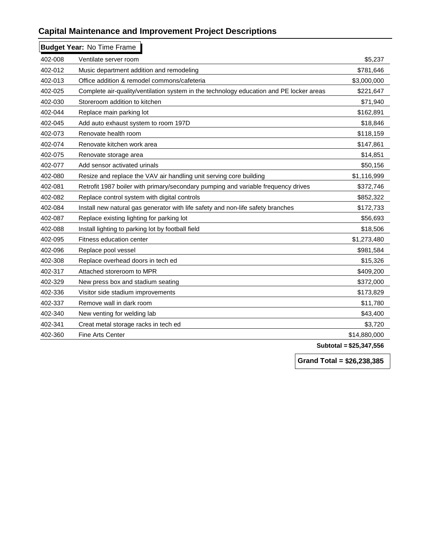|         | <b>Budget Year: No Time Frame</b>                                                       |              |
|---------|-----------------------------------------------------------------------------------------|--------------|
| 402-008 | Ventilate server room                                                                   | \$5,237      |
| 402-012 | Music department addition and remodeling                                                | \$781,646    |
| 402-013 | Office addition & remodel commons/cafeteria                                             | \$3,000,000  |
| 402-025 | Complete air-quality/ventilation system in the technology education and PE locker areas | \$221,647    |
| 402-030 | Storeroom addition to kitchen                                                           | \$71,940     |
| 402-044 | Replace main parking lot                                                                | \$162,891    |
| 402-045 | Add auto exhaust system to room 197D                                                    | \$18,846     |
| 402-073 | Renovate health room                                                                    | \$118,159    |
| 402-074 | Renovate kitchen work area                                                              | \$147,861    |
| 402-075 | Renovate storage area                                                                   | \$14,851     |
| 402-077 | Add sensor activated urinals                                                            | \$50,156     |
| 402-080 | Resize and replace the VAV air handling unit serving core building                      | \$1,116,999  |
| 402-081 | Retrofit 1987 boiler with primary/secondary pumping and variable frequency drives       | \$372,746    |
| 402-082 | Replace control system with digital controls                                            | \$852,322    |
| 402-084 | Install new natural gas generator with life safety and non-life safety branches         | \$172,733    |
| 402-087 | Replace existing lighting for parking lot                                               | \$56,693     |
| 402-088 | Install lighting to parking lot by football field                                       | \$18,506     |
| 402-095 | Fitness education center                                                                | \$1,273,480  |
| 402-096 | Replace pool vessel                                                                     | \$981,584    |
| 402-308 | Replace overhead doors in tech ed                                                       | \$15,326     |
| 402-317 | Attached storeroom to MPR                                                               | \$409,200    |
| 402-329 | New press box and stadium seating                                                       | \$372,000    |
| 402-336 | Visitor side stadium improvements                                                       | \$173,829    |
| 402-337 | Remove wall in dark room                                                                | \$11,780     |
| 402-340 | New venting for welding lab                                                             | \$43,400     |
| 402-341 | Creat metal storage racks in tech ed                                                    | \$3,720      |
| 402-360 | Fine Arts Center                                                                        | \$14,880,000 |
|         |                                                                                         |              |

**Subtotal = \$25,347,556**

**Grand Total = \$26,238,385**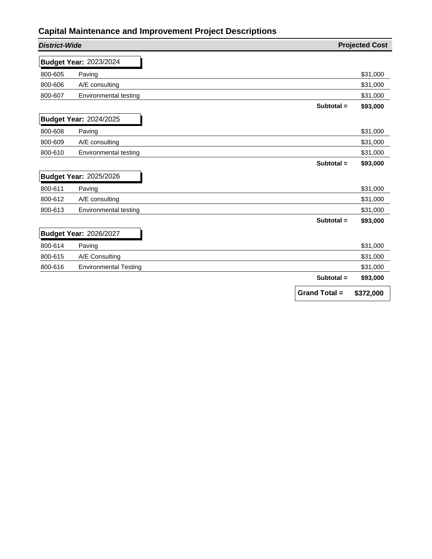| <b>District-Wide</b> |                               |                      | <b>Projected Cost</b> |
|----------------------|-------------------------------|----------------------|-----------------------|
|                      | <b>Budget Year: 2023/2024</b> |                      |                       |
| 800-605              | Paving                        |                      | \$31,000              |
| 800-606              | A/E consulting                |                      | \$31,000              |
| 800-607              | Environmental testing         |                      | \$31,000              |
|                      |                               | Subtotal $=$         | \$93,000              |
|                      | <b>Budget Year: 2024/2025</b> |                      |                       |
| 800-608              | Paving                        |                      | \$31,000              |
| 800-609              | A/E consulting                |                      | \$31,000              |
| 800-610              | Environmental testing         |                      | \$31,000              |
|                      |                               | Subtotal $=$         | \$93,000              |
|                      | <b>Budget Year: 2025/2026</b> |                      |                       |
| 800-611              | Paving                        |                      | \$31,000              |
| 800-612              | A/E consulting                |                      | \$31,000              |
| 800-613              | Environmental testing         |                      | \$31,000              |
|                      |                               | Subtotal =           | \$93,000              |
|                      | <b>Budget Year: 2026/2027</b> |                      |                       |
| 800-614              | Paving                        |                      | \$31,000              |
| 800-615              | A/E Consulting                |                      | \$31,000              |
| 800-616              | <b>Environmental Testing</b>  |                      | \$31,000              |
|                      |                               | Subtotal =           | \$93,000              |
|                      |                               | <b>Grand Total =</b> | \$372,000             |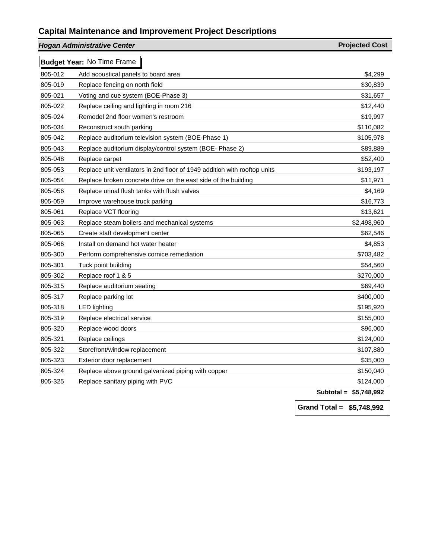|         | <b>Hogan Administrative Center</b>                                        | <b>Projected Cost</b> |
|---------|---------------------------------------------------------------------------|-----------------------|
|         | <b>Budget Year: No Time Frame</b>                                         |                       |
| 805-012 | Add acoustical panels to board area                                       | \$4,299               |
| 805-019 | Replace fencing on north field                                            | \$30,839              |
| 805-021 | Voting and cue system (BOE-Phase 3)                                       | \$31,657              |
| 805-022 | Replace ceiling and lighting in room 216                                  | \$12,440              |
| 805-024 | Remodel 2nd floor women's restroom                                        | \$19,997              |
| 805-034 | Reconstruct south parking                                                 | \$110,082             |
| 805-042 | Replace auditorium television system (BOE-Phase 1)                        | \$105,978             |
| 805-043 | Replace auditorium display/control system (BOE- Phase 2)                  | \$89,889              |
| 805-048 | Replace carpet                                                            | \$52,400              |
| 805-053 | Replace unit ventilators in 2nd floor of 1949 addition with rooftop units | \$193,197             |
| 805-054 | Replace broken concrete drive on the east side of the building            | \$11,971              |
| 805-056 | Replace urinal flush tanks with flush valves                              | \$4,169               |
| 805-059 | Improve warehouse truck parking                                           | \$16,773              |
| 805-061 | Replace VCT flooring                                                      | \$13,621              |
| 805-063 | Replace steam boilers and mechanical systems                              | \$2,498,960           |
| 805-065 | Create staff development center                                           | \$62,546              |
| 805-066 | Install on demand hot water heater                                        | \$4,853               |
| 805-300 | Perform comprehensive cornice remediation                                 | \$703,482             |
| 805-301 | Tuck point building                                                       | \$54,560              |
| 805-302 | Replace roof 1 & 5                                                        | \$270,000             |
| 805-315 | Replace auditorium seating                                                | \$69,440              |
| 805-317 | Replace parking lot                                                       | \$400,000             |
| 805-318 | <b>LED lighting</b>                                                       | \$195,920             |
| 805-319 | Replace electrical service                                                | \$155,000             |
| 805-320 | Replace wood doors                                                        | \$96,000              |
| 805-321 | Replace ceilings                                                          | \$124,000             |
| 805-322 | Storefront/window replacement                                             | \$107,880             |
| 805-323 | Exterior door replacement                                                 | \$35,000              |
| 805-324 | Replace above ground galvanized piping with copper                        | \$150,040             |
| 805-325 | Replace sanitary piping with PVC                                          | \$124,000             |
|         |                                                                           | $P - 710$             |

**Subtotal = \$5,748,992**

**Grand Total = \$5,748,992**